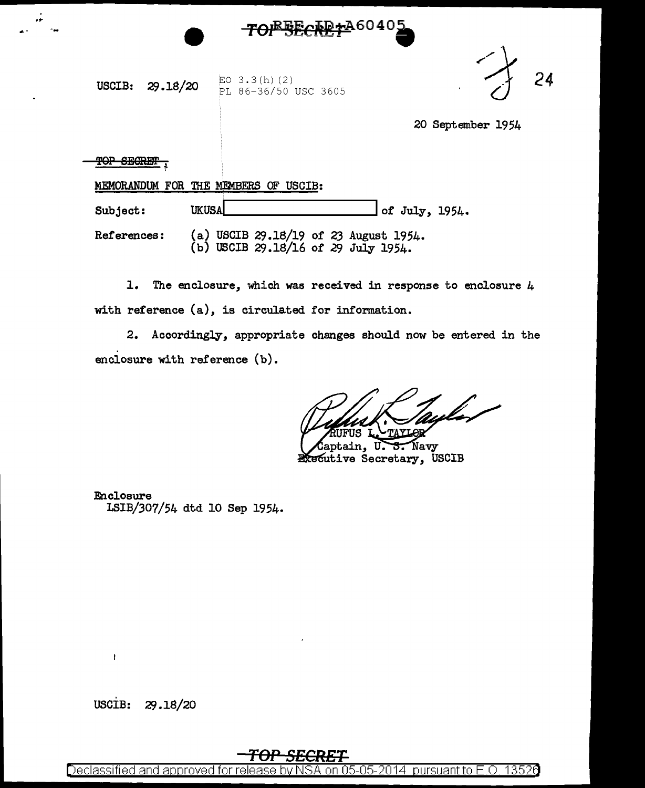

**USCIB:** 29.18/20  $\frac{\text{EO } 3.3(\text{h}) (2)}{\text{PL } 86-36/50}$ PL 86-36/50 USC 3605



20 September 1954

TOP SECRET

.... .... --

|             | MEMORANDUM FOR THE MEMBERS OF USCIB:                                         |
|-------------|------------------------------------------------------------------------------|
| Subject:    | $\sqrt{$ of July, 1954.<br><b>UKUSA</b>                                      |
| References: | (a) USCIB 29.18/19 of 23 August 1954.<br>(b) USCIB 29.18/16 of 29 July 1954. |

1. The enclosure, which was received in response to enclosure  $4$ with reference  $(a)$ , is circulated for information.

2. Accordingly, appropriate changes should now be entered in the enciosure with reference (b).

ptain, Navy υ. <del>s.</del> Executive Secretary, USCIB

Enclosure LSIB/307/54 dtd 10 Sep 1954.

USCIB: 29.18/20

ł

## **TOP SECRET**

Declassified and approved for release by NSA on 05-05-2014 pursuant to E.O. 13526